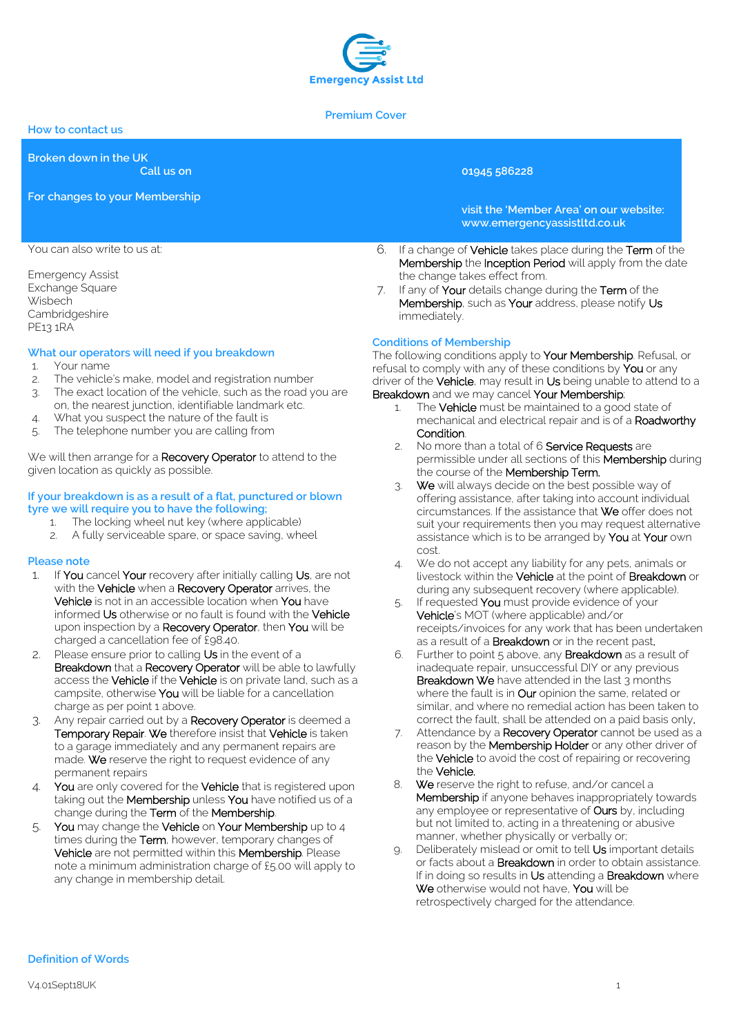

#### **Premium Cover**

**How to contact us**

**Broken down in the UK**

**Call us on 01945 586228**

**For changes to your Membership**

**visit the 'Member Area' on our website: www.emergencyassistltd.co.uk**

- 6. If a change of Vehicle takes place during the Term of the Membership the Inception Period will apply from the date the change takes effect from.
- 7. If any of Your details change during the Term of the Membership, such as Your address, please notify Us immediately.

# **Conditions of Membership**

The following conditions apply to Your Membership. Refusal, or refusal to comply with any of these conditions by You or any driver of the Vehicle, may result in Us being unable to attend to a Breakdown and we may cancel Your Membership;

- 1. The **Vehicle** must be maintained to a good state of mechanical and electrical repair and is of a Roadworthy Condition.
- 2. No more than a total of 6 Service Requests are permissible under all sections of this Membership during the course of the **Membership Term.**
- 3. We will always decide on the best possible way of offering assistance, after taking into account individual circumstances. If the assistance that We offer does not suit your requirements then you may request alternative assistance which is to be arranged by You at Your own cost.
- 4. We do not accept any liability for any pets, animals or livestock within the **Vehicle** at the point of **Breakdown** or during any subsequent recovery (where applicable).
- 5. If requested You must provide evidence of your Vehicle's MOT (where applicable) and/or receipts/invoices for any work that has been undertaken as a result of a **Breakdown** or in the recent past.
- 6. Further to point 5 above, any Breakdown as a result of inadequate repair, unsuccessful DIY or any previous Breakdown We have attended in the last 3 months where the fault is in **Our** opinion the same, related or similar, and where no remedial action has been taken to correct the fault, shall be attended on a paid basis only.
- 7. Attendance by a Recovery Operator cannot be used as a reason by the **Membership Holder** or any other driver of the Vehicle to avoid the cost of repairing or recovering the Vehicle.
- 8. We reserve the right to refuse, and/or cancel a Membership if anyone behaves inappropriately towards any employee or representative of Ours by, including but not limited to, acting in a threatening or abusive manner, whether physically or verbally or;
- 9. Deliberately mislead or omit to tell Us important details or facts about a Breakdown in order to obtain assistance. If in doing so results in Us attending a Breakdown where We otherwise would not have, You will be retrospectively charged for the attendance.

You can also write to us at:

Emergency Assist Exchange Square **Wisbech** Cambridgeshire PE13 1RA

# **What our operators will need if you breakdown**

- 1. Your name
- 2. The vehicle's make, model and registration number
- 3. The exact location of the vehicle, such as the road you are on, the nearest junction, identifiable landmark etc.
- 4. What you suspect the nature of the fault is
- 5. The telephone number you are calling from

We will then arrange for a Recovery Operator to attend to the given location as quickly as possible.

### **If your breakdown is as a result of a flat, punctured or blown tyre we will require you to have the following;**

- 1. The locking wheel nut key (where applicable)
- A fully serviceable spare, or space saving, wheel

# **Please note**

- 1. If You cancel Your recovery after initially calling Us, are not with the Vehicle when a Recovery Operator arrives, the Vehicle is not in an accessible location when You have informed Us otherwise or no fault is found with the Vehicle upon inspection by a Recovery Operator, then You will be charged a cancellation fee of £98.40.
- 2. Please ensure prior to calling Us in the event of a Breakdown that a Recovery Operator will be able to lawfully access the **Vehicle** if the **Vehicle** is on private land, such as a campsite, otherwise You will be liable for a cancellation charge as per point 1 above.
- 3. Any repair carried out by a Recovery Operator is deemed a Temporary Repair. We therefore insist that Vehicle is taken to a garage immediately and any permanent repairs are made. We reserve the right to request evidence of any permanent repairs
- 4. You are only covered for the Vehicle that is registered upon taking out the **Membership** unless You have notified us of a change during the Term of the Membership.
- 5. You may change the Vehicle on Your Membership up to 4 times during the Term, however, temporary changes of Vehicle are not permitted within this Membership. Please note a minimum administration charge of £5.00 will apply to any change in membership detail.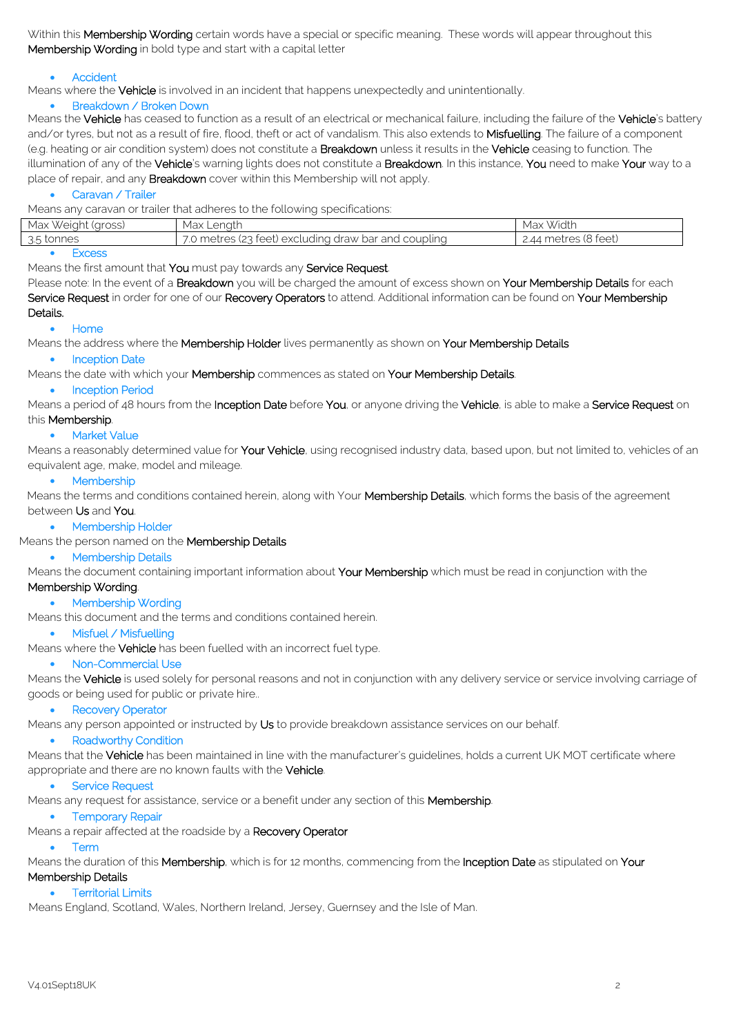Within this Membership Wording certain words have a special or specific meaning. These words will appear throughout this Membership Wording in bold type and start with a capital letter

## Accident

Means where the **Vehicle** is involved in an incident that happens unexpectedly and unintentionally.

## Breakdown / Broken Down

Means the Vehicle has ceased to function as a result of an electrical or mechanical failure, including the failure of the Vehicle's battery and/or tyres, but not as a result of fire, flood, theft or act of vandalism. This also extends to Misfuelling. The failure of a component (e.g. heating or air condition system) does not constitute a **Breakdown** unless it results in the Vehicle ceasing to function. The illumination of any of the Vehicle's warning lights does not constitute a Breakdown. In this instance, You need to make Your way to a place of repair, and any **Breakdown** cover within this Membership will not apply.

# Caravan / Trailer

Means any caravan or trailer that adheres to the following specifications:

|                       | $\sim$                                               |                      |
|-----------------------|------------------------------------------------------|----------------------|
| Weiaht (aross)<br>Max | Max Lenath                                           | Width<br>Max         |
| 3.5 tonnes            | 7.0 metres (23 feet) excluding draw bar and coupling | 2.44 metres (8 feet) |
|                       |                                                      |                      |

**Excess** 

Means the first amount that You must pay towards any Service Request.

Please note: In the event of a Breakdown you will be charged the amount of excess shown on Your Membership Details for each Service Request in order for one of our Recovery Operators to attend. Additional information can be found on Your Membership Details.

#### Home

Means the address where the Membership Holder lives permanently as shown on Your Membership Details

# • Inception Date

Means the date with which your Membership commences as stated on Your Membership Details.

#### **•** Inception Period

Means a period of 48 hours from the Inception Date before You, or anyone driving the Vehicle, is able to make a Service Request on this Membership.

#### **•** Market Value

Means a reasonably determined value for Your Vehicle, using recognised industry data, based upon, but not limited to, vehicles of an equivalent age, make, model and mileage.

## • Membership

Means the terms and conditions contained herein, along with Your Membership Details, which forms the basis of the agreement between Us and You.

#### • Membership Holder

#### Means the person named on the **Membership Details**

# • Membership Details

Means the document containing important information about Your Membership which must be read in conjunction with the

# Membership Wording.

• Membership Wording

Means this document and the terms and conditions contained herein.

# • Misfuel / Misfuellina

Means where the Vehicle has been fuelled with an incorrect fuel type.

#### Non-Commercial Use

Means the Vehicle is used solely for personal reasons and not in conjunction with any delivery service or service involving carriage of goods or being used for public or private hire..

#### • Recovery Operator

Means any person appointed or instructed by Us to provide breakdown assistance services on our behalf.

#### • Roadworthy Condition

Means that the Vehicle has been maintained in line with the manufacturer's guidelines, holds a current UK MOT certificate where appropriate and there are no known faults with the Vehicle.

# **•** Service Request

Means any request for assistance, service or a benefit under any section of this Membership.

#### • Temporary Repair

Means a repair affected at the roadside by a Recovery Operator

# Term

Means the duration of this Membership, which is for 12 months, commencing from the Inception Date as stipulated on Your Membership Details

# **•** Territorial Limits

Means England, Scotland, Wales, Northern Ireland, Jersey, Guernsey and the Isle of Man.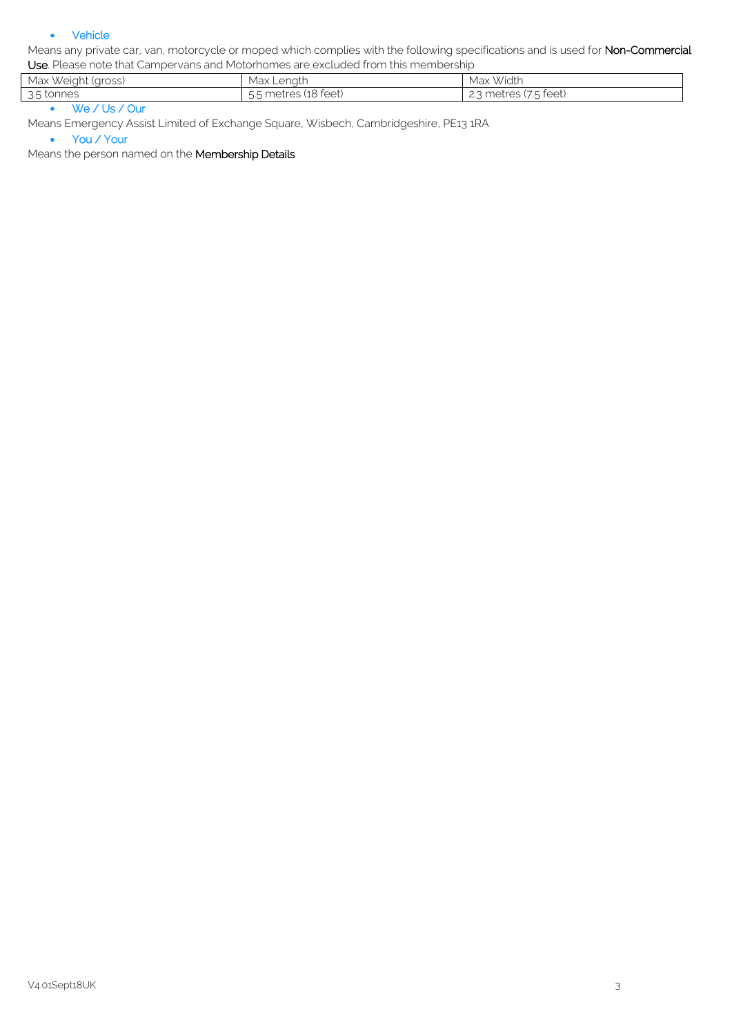## Vehicle

Means any private car, van, motorcycle or moped which complies with the following specifications and is used for Non-Commercial Use. Please note that Campervans and Motorhomes are excluded from this membership

| Max Weight<br>' (aross) | Max'<br>: Lenath           | Width<br>Max                                                              |
|-------------------------|----------------------------|---------------------------------------------------------------------------|
| 3.5 tonnes              | .5 metres (18 feet)<br>ี ั | '75 feet)<br>$\cap$ metres ( $\mu_{\alpha}$ )<br>$\overline{\phantom{a}}$ |

We / Us / Our

Means Emergency Assist Limited of Exchange Square, Wisbech, Cambridgeshire, PE13 1RA

• You / Your

Means the person named on the Membership Details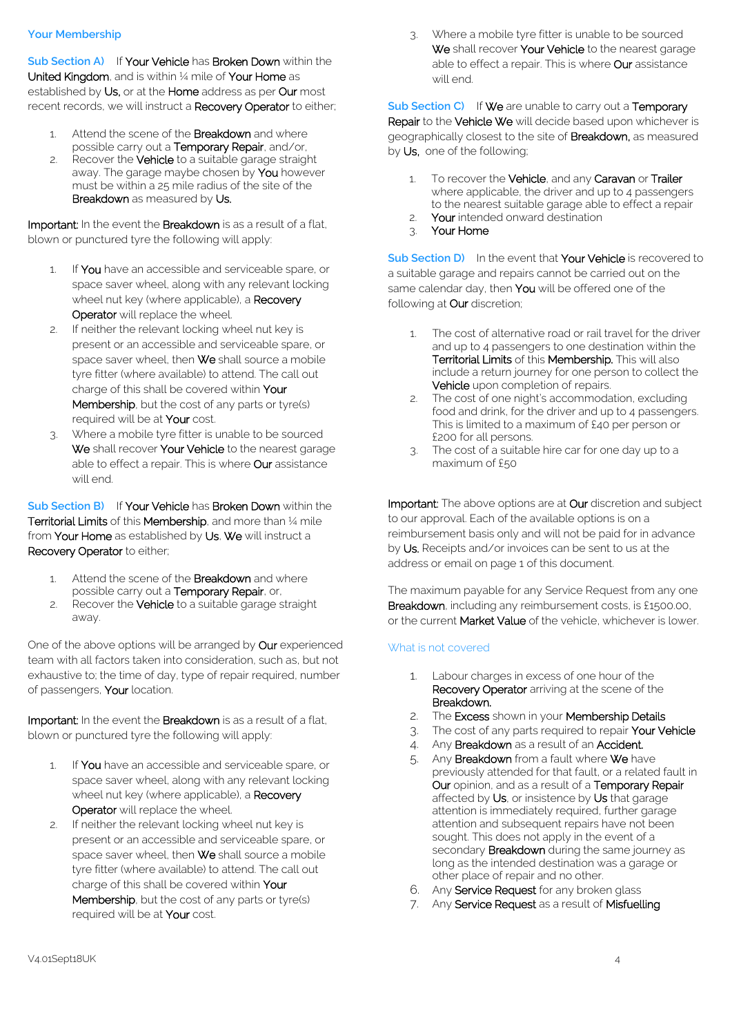## **Your Membership**

**Sub Section A)** If Your Vehicle has Broken Down within the United Kingdom, and is within 1/4 mile of Your Home as established by Us, or at the Home address as per Our most recent records, we will instruct a Recovery Operator to either;

- 1. Attend the scene of the **Breakdown** and where possible carry out a Temporary Repair, and/or,
- 2. Recover the **Vehicle** to a suitable garage straight away. The garage maybe chosen by **You** however must be within a 25 mile radius of the site of the Breakdown as measured by Us.

Important: In the event the Breakdown is as a result of a flat. blown or punctured tyre the following will apply:

- 1. If You have an accessible and serviceable spare, or space saver wheel, along with any relevant locking wheel nut key (where applicable), a Recovery Operator will replace the wheel.
- 2. If neither the relevant locking wheel nut key is present or an accessible and serviceable spare, or space saver wheel, then We shall source a mobile tyre fitter (where available) to attend. The call out charge of this shall be covered within Your Membership, but the cost of any parts or tyre(s) required will be at Your cost.
- 3. Where a mobile tyre fitter is unable to be sourced We shall recover Your Vehicle to the nearest garage able to effect a repair. This is where **Our** assistance will end.

**Sub Section B)** If Your Vehicle has Broken Down within the Territorial Limits of this Membership, and more than 1/4 mile from Your Home as established by Us, We will instruct a Recovery Operator to either;

- 1. Attend the scene of the Breakdown and where possible carry out a Temporary Repair, or,
- 2. Recover the **Vehicle** to a suitable garage straight away.

One of the above options will be arranged by Our experienced team with all factors taken into consideration, such as, but not exhaustive to; the time of day, type of repair required, number of passengers, Your location.

Important: In the event the Breakdown is as a result of a flat, blown or punctured tyre the following will apply:

- 1. If You have an accessible and serviceable spare, or space saver wheel, along with any relevant locking wheel nut key (where applicable), a **Recovery** Operator will replace the wheel.
- 2. If neither the relevant locking wheel nut key is present or an accessible and serviceable spare, or space saver wheel, then We shall source a mobile tyre fitter (where available) to attend. The call out charge of this shall be covered within Your Membership, but the cost of any parts or tyre(s) required will be at Your cost.

3. Where a mobile tyre fitter is unable to be sourced We shall recover Your Vehicle to the nearest garage able to effect a repair. This is where **Our** assistance will end.

**Sub Section C)** If We are unable to carry out a Temporary Repair to the Vehicle We will decide based upon whichever is geographically closest to the site of **Breakdown**, as measured by Us, one of the following:

- 1. To recover the Vehicle, and any Caravan or Trailer where applicable, the driver and up to 4 passengers to the nearest suitable garage able to effect a repair
- 2. Your intended onward destination
- 3. Your Home

**Sub Section D)** In the event that Your Vehicle is recovered to a suitable garage and repairs cannot be carried out on the same calendar day, then You will be offered one of the following at Our discretion;

- 1. The cost of alternative road or rail travel for the driver and up to 4 passengers to one destination within the Territorial Limits of this Membership. This will also include a return journey for one person to collect the Vehicle upon completion of repairs.
- 2. The cost of one night's accommodation, excluding food and drink, for the driver and up to 4 passengers. This is limited to a maximum of £40 per person or £200 for all persons.
- 3. The cost of a suitable hire car for one day up to a maximum of £50

Important: The above options are at Our discretion and subject to our approval. Each of the available options is on a reimbursement basis only and will not be paid for in advance by Us. Receipts and/or invoices can be sent to us at the address or email on page 1 of this document.

The maximum payable for any Service Request from any one Breakdown, including any reimbursement costs, is £1500.00, or the current Market Value of the vehicle, whichever is lower.

# What is not covered

- 1. Labour charges in excess of one hour of the Recovery Operator arriving at the scene of the Breakdown.
- 2. The Excess shown in your Membership Details
- 3. The cost of any parts required to repair Your Vehicle
- 4. Any Breakdown as a result of an Accident.
- 5. Any Breakdown from a fault where We have previously attended for that fault, or a related fault in Our opinion, and as a result of a Temporary Repair affected by Us, or insistence by Us that garage attention is immediately required, further garage attention and subsequent repairs have not been sought. This does not apply in the event of a secondary **Breakdown** during the same journey as long as the intended destination was a garage or other place of repair and no other.
- 6. Any Service Request for any broken glass
- 7. Any Service Request as a result of Misfuelling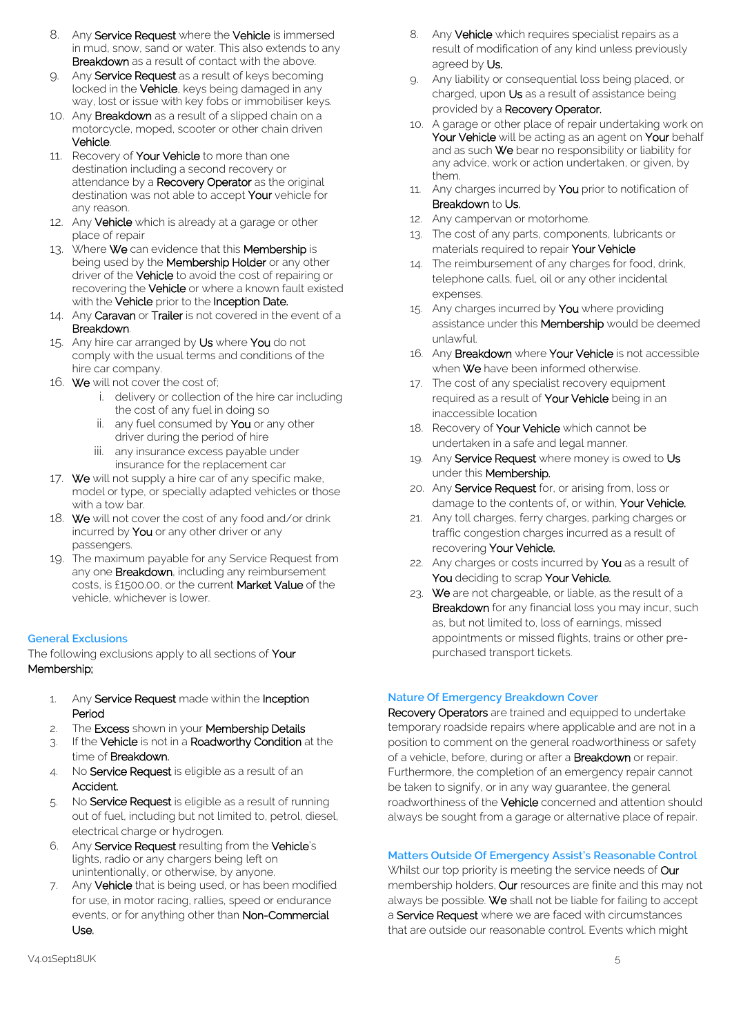- 8. Any **Service Request** where the **Vehicle** is immersed in mud, snow, sand or water. This also extends to any Breakdown as a result of contact with the above.
- 9. Any Service Request as a result of keys becoming locked in the **Vehicle**, keys being damaged in any way, lost or issue with key fobs or immobiliser keys.
- 10. Any **Breakdown** as a result of a slipped chain on a motorcycle, moped, scooter or other chain driven Vehicle.
- 11. Recovery of Your Vehicle to more than one destination including a second recovery or attendance by a Recovery Operator as the original destination was not able to accept Your vehicle for any reason.
- 12. Any Vehicle which is already at a garage or other place of repair
- 13. Where We can evidence that this Membership is being used by the Membership Holder or any other driver of the Vehicle to avoid the cost of repairing or recovering the Vehicle or where a known fault existed with the Vehicle prior to the Inception Date.
- 14. Any Caravan or Trailer is not covered in the event of a Breakdown.
- 15. Any hire car arranged by Us where You do not comply with the usual terms and conditions of the hire car company.
- 16. We will not cover the cost of;
	- i. delivery or collection of the hire car including the cost of any fuel in doing so
	- ii. any fuel consumed by You or any other driver during the period of hire
	- iii. any insurance excess payable under insurance for the replacement car
- 17. We will not supply a hire car of any specific make, model or type, or specially adapted vehicles or those with a tow bar.
- 18. We will not cover the cost of any food and/or drink incurred by You or any other driver or any passengers.
- 19. The maximum payable for any Service Request from any one **Breakdown**, including any reimbursement costs, is £1500.00, or the current Market Value of the vehicle, whichever is lower.

# **General Exclusions**

The following exclusions apply to all sections of Your Membership;

- 1. Any Service Request made within the Inception Period
- 2. The Excess shown in your Membership Details
- 3. If the Vehicle is not in a Roadworthy Condition at the time of Breakdown.
- 4. No Service Request is eligible as a result of an Accident.
- 5. No Service Request is eligible as a result of running out of fuel, including but not limited to, petrol, diesel, electrical charge or hydrogen.
- 6. Any Service Request resulting from the Vehicle's lights, radio or any chargers being left on unintentionally, or otherwise, by anyone.
- 7. Any Vehicle that is being used, or has been modified for use, in motor racing, rallies, speed or endurance events, or for anything other than Non-Commercial Use.
- 8. Any Vehicle which requires specialist repairs as a result of modification of any kind unless previously agreed by Us.
- 9. Any liability or consequential loss being placed, or charged, upon Us as a result of assistance being provided by a Recovery Operator.
- 10. A garage or other place of repair undertaking work on Your Vehicle will be acting as an agent on Your behalf and as such We bear no responsibility or liability for any advice, work or action undertaken, or given, by them.
- 11. Any charges incurred by You prior to notification of Breakdown to Us.
- 12. Any campervan or motorhome.
- 13. The cost of any parts, components, lubricants or materials required to repair Your Vehicle
- 14. The reimbursement of any charges for food, drink, telephone calls, fuel, oil or any other incidental expenses.
- 15. Any charges incurred by You where providing assistance under this **Membership** would be deemed unlawful.
- 16. Any Breakdown where Your Vehicle is not accessible when We have been informed otherwise.
- 17. The cost of any specialist recovery equipment required as a result of Your Vehicle being in an inaccessible location
- 18. Recovery of Your Vehicle which cannot be undertaken in a safe and legal manner.
- 19. Any Service Request where money is owed to Us under this Membership.
- 20. Any Service Request for, or arising from, loss or damage to the contents of, or within, Your Vehicle.
- 21. Any toll charges, ferry charges, parking charges or traffic congestion charges incurred as a result of recovering Your Vehicle.
- 22. Any charges or costs incurred by **You** as a result of You deciding to scrap Your Vehicle.
- 23. We are not chargeable, or liable, as the result of a **Breakdown** for any financial loss you may incur, such as, but not limited to, loss of earnings, missed appointments or missed flights, trains or other prepurchased transport tickets.

# **Nature Of Emergency Breakdown Cover**

Recovery Operators are trained and equipped to undertake temporary roadside repairs where applicable and are not in a position to comment on the general roadworthiness or safety of a vehicle, before, during or after a **Breakdown** or repair. Furthermore, the completion of an emergency repair cannot be taken to signify, or in any way guarantee, the general roadworthiness of the **Vehicle** concerned and attention should always be sought from a garage or alternative place of repair.

# **Matters Outside Of Emergency Assist's Reasonable Control**

Whilst our top priority is meeting the service needs of Our membership holders, Our resources are finite and this may not always be possible. We shall not be liable for failing to accept a Service Request where we are faced with circumstances that are outside our reasonable control. Events which might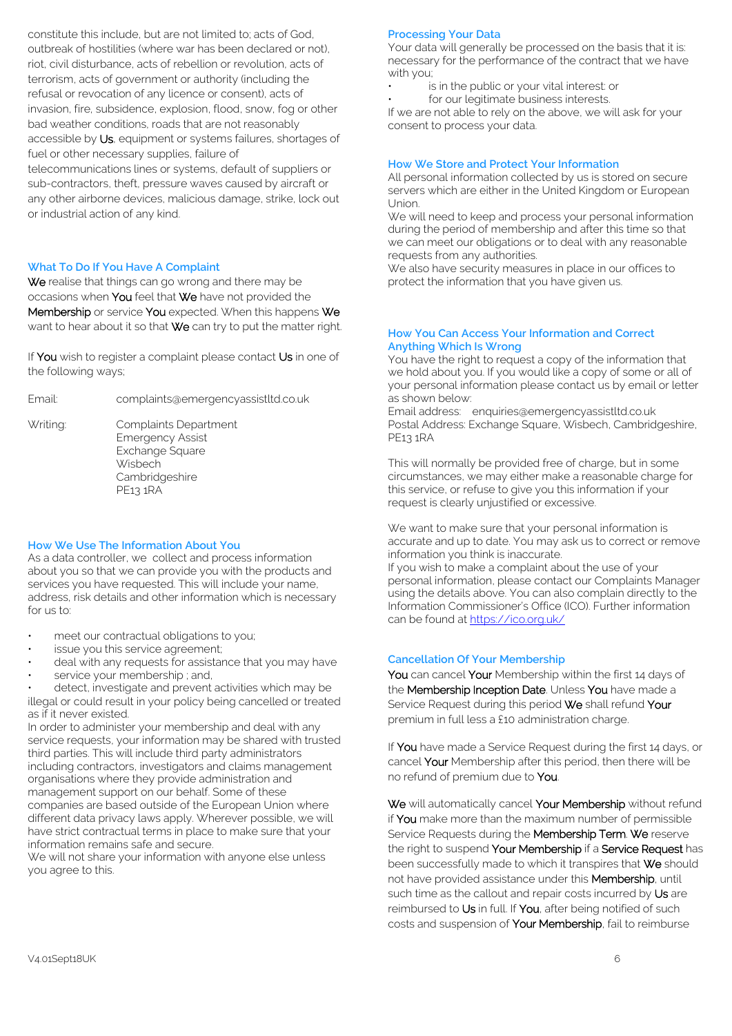constitute this include, but are not limited to; acts of God, outbreak of hostilities (where war has been declared or not), riot, civil disturbance, acts of rebellion or revolution, acts of terrorism, acts of government or authority (including the refusal or revocation of any licence or consent), acts of invasion, fire, subsidence, explosion, flood, snow, fog or other bad weather conditions, roads that are not reasonably accessible by Us, equipment or systems failures, shortages of fuel or other necessary supplies, failure of telecommunications lines or systems, default of suppliers or sub-contractors, theft, pressure waves caused by aircraft or any other airborne devices, malicious damage, strike, lock out or industrial action of any kind.

# **What To Do If You Have A Complaint**

We realise that things can go wrong and there may be occasions when You feel that We have not provided the Membership or service You expected. When this happens We want to hear about it so that We can try to put the matter right.

If You wish to register a complaint please contact Us in one of the following ways;

Email: complaints@emergencyassistltd.co.uk

Writing: Complaints Department Emergency Assist Exchange Square **Wisbech** Cambridgeshire

#### **How We Use The Information About You**

PE13 1RA

As a data controller, we collect and process information about you so that we can provide you with the products and services you have requested. This will include your name, address, risk details and other information which is necessary for us to:

- meet our contractual obligations to you;
- issue you this service agreement;
- deal with any requests for assistance that you may have
- service your membership; and,

detect, investigate and prevent activities which may be illegal or could result in your policy being cancelled or treated as if it never existed.

In order to administer your membership and deal with any service requests, your information may be shared with trusted third parties. This will include third party administrators including contractors, investigators and claims management organisations where they provide administration and management support on our behalf. Some of these companies are based outside of the European Union where different data privacy laws apply. Wherever possible, we will have strict contractual terms in place to make sure that your information remains safe and secure.

We will not share your information with anyone else unless you agree to this.

## **Processing Your Data**

Your data will generally be processed on the basis that it is: necessary for the performance of the contract that we have with you;

is in the public or your vital interest: or

for our legitimate business interests.

If we are not able to rely on the above, we will ask for your consent to process your data.

## **How We Store and Protect Your Information**

All personal information collected by us is stored on secure servers which are either in the United Kingdom or European Union.

We will need to keep and process your personal information during the period of membership and after this time so that we can meet our obligations or to deal with any reasonable requests from any authorities.

We also have security measures in place in our offices to protect the information that you have given us.

#### **How You Can Access Your Information and Correct Anything Which Is Wrong**

You have the right to request a copy of the information that we hold about you. If you would like a copy of some or all of your personal information please contact us by email or letter as shown below:

Email address: enquiries@emergencyassistltd.co.uk Postal Address: Exchange Square, Wisbech, Cambridgeshire, PE13 1RA

This will normally be provided free of charge, but in some circumstances, we may either make a reasonable charge for this service, or refuse to give you this information if your request is clearly unjustified or excessive.

We want to make sure that your personal information is accurate and up to date. You may ask us to correct or remove information you think is inaccurate. If you wish to make a complaint about the use of your personal information, please contact our Complaints Manager using the details above. You can also complain directly to the Information Commissioner's Office (ICO). Further information can be found a[t https://ico.org.uk/](https://ico.org.uk/)

# **Cancellation Of Your Membership**

You can cancel Your Membership within the first 14 days of the Membership Inception Date. Unless You have made a Service Request during this period We shall refund Your premium in full less a £10 administration charge.

If You have made a Service Request during the first 14 days, or cancel Your Membership after this period, then there will be no refund of premium due to You.

We will automatically cancel Your Membership without refund if You make more than the maximum number of permissible Service Requests during the Membership Term. We reserve the right to suspend Your Membership if a Service Request has been successfully made to which it transpires that We should not have provided assistance under this Membership, until such time as the callout and repair costs incurred by Us are reimbursed to Us in full. If You, after being notified of such costs and suspension of Your Membership, fail to reimburse